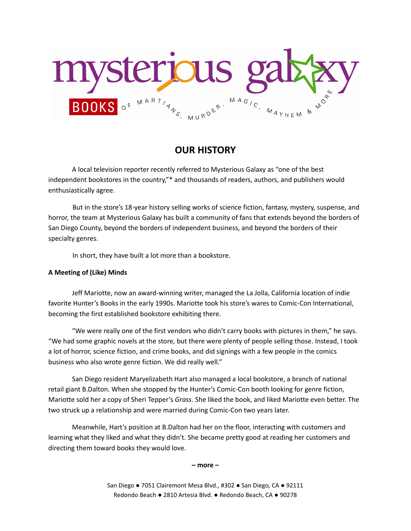

A local television reporter recently referred to Mysterious Galaxy as "one of the best independent bookstores in the country,"\* and thousands of readers, authors, and publishers would enthusiastically agree.

But in the store's 18-year history selling works of science fiction, fantasy, mystery, suspense, and horror, the team at Mysterious Galaxy has built a community of fans that extends beyond the borders of San Diego County, beyond the borders of independent business, and beyond the borders of their specialty genres.

In short, they have built a lot more than a bookstore.

# **A Meeting of (Like) Minds**

Jeff Mariotte, now an award-winning writer, managed the La Jolla, California location of indie favorite Hunter's Books in the early 1990s. Mariotte took his store's wares to Comic-Con International, becoming the first established bookstore exhibiting there.

"We were really one of the first vendors who didn't carry books with pictures in them," he says. "We had some graphic novels at the store, but there were plenty of people selling those. Instead, I took a lot of horror, science fiction, and crime books, and did signings with a few people in the comics business who also wrote genre fiction. We did really well."

San Diego resident Maryelizabeth Hart also managed a local bookstore, a branch of national retail giant B.Dalton. When she stopped by the Hunter's Comic-Con booth looking for genre fiction, Mariotte sold her a copy of Sheri Tepper's *Grass*. She liked the book, and liked Mariotte even better. The two struck up a relationship and were married during Comic-Con two years later.

Meanwhile, Hart's position at B.Dalton had her on the floor, interacting with customers and learning what they liked and what they didn't. She became pretty good at reading her customers and directing them toward books they would love.

**– more –**

San Diego ● 7051 Clairemont Mesa Blvd., #302 ● San Diego, CA ● 92111 Redondo Beach ● 2810 Artesia Blvd. ● Redondo Beach, CA ● 90278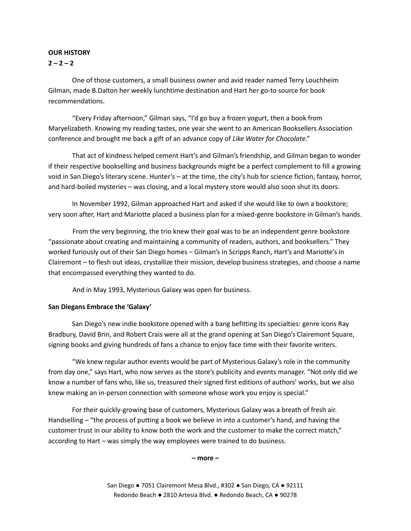#### $2 - 2 - 2$

One of those customers, a small business owner and avid reader named Terry Louchheim Gilman, made B.Dalton her weekly lunchtime destination and Hart her go-to source for book recommendations.

"Every Friday afternoon," Gilman says, "I'd go buy a frozen yogurt, then a book from Maryelizabeth. Knowing my reading tastes, one year she went to an American Booksellers Association conference and brought me back a gift of an advance copy of *Like Water for Chocolate*."

That act of kindness helped cement Hart's and Gilman's friendship, and Gilman began to wonder if their respective bookselling and business backgrounds might be a perfect complement to fill a growing void in San Diego's literary scene. Hunter's – at the time, the city's hub for science fiction, fantasy, horror, and hard-boiled mysteries – was closing, and a local mystery store would also soon shut its doors.

In November 1992, Gilman approached Hart and asked if she would like to own a bookstore; very soon after, Hart and Mariotte placed a business plan for a mixed-genre bookstore in Gilman's hands.

From the very beginning, the trio knew their goal was to be an independent genre bookstore "passionate about creating and maintaining a community of readers, authors, and booksellers." They worked furiously out of their San Diego homes – Gilman's in Scripps Ranch, Hart's and Mariotte's in Clairemont – to flesh out ideas, crystallize their mission, develop business strategies, and choose a name that encompassed everything they wanted to do.

And in May 1993, Mysterious Galaxy was open for business.

# **San Diegans Embrace the 'Galaxy'**

San Diego's new indie bookstore opened with a bang befitting its specialties: genre icons Ray Bradbury, David Brin, and Robert Crais were all at the grand opening at San Diego's Clairemont Square, signing books and giving hundreds of fans a chance to enjoy face time with their favorite writers.

"We knew regular author events would be part of Mysterious Galaxy's role in the community from day one," says Hart, who now serves as the store's publicity and events manager. "Not only did we know a number of fans who, like us, treasured their signed first editions of authors' works, but we also knew making an in-person connection with someone whose work you enjoy is special."

For their quickly-growing base of customers, Mysterious Galaxy was a breath of fresh air. Handselling – "the process of putting a book we believe in into a customer's hand, and having the customer trust in our ability to know both the work and the customer to make the correct match," according to Hart – was simply the way employees were trained to do business.

**– more –**

San Diego ● 7051 Clairemont Mesa Blvd., #302 ● San Diego, CA ● 92111 Redondo Beach ● 2810 Artesia Blvd. ● Redondo Beach, CA ● 90278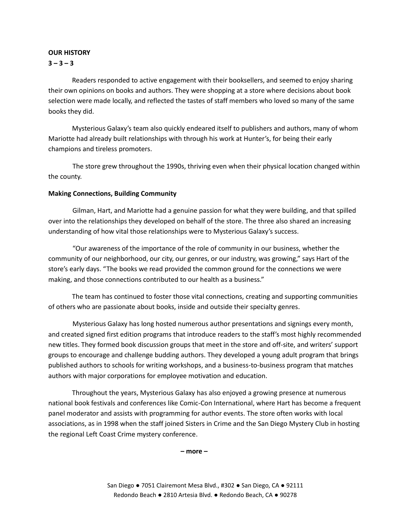## **3 – 3 – 3**

Readers responded to active engagement with their booksellers, and seemed to enjoy sharing their own opinions on books and authors. They were shopping at a store where decisions about book selection were made locally, and reflected the tastes of staff members who loved so many of the same books they did.

Mysterious Galaxy's team also quickly endeared itself to publishers and authors, many of whom Mariotte had already built relationships with through his work at Hunter's, for being their early champions and tireless promoters.

The store grew throughout the 1990s, thriving even when their physical location changed within the county.

# **Making Connections, Building Community**

Gilman, Hart, and Mariotte had a genuine passion for what they were building, and that spilled over into the relationships they developed on behalf of the store. The three also shared an increasing understanding of how vital those relationships were to Mysterious Galaxy's success.

"Our awareness of the importance of the role of community in our business, whether the community of our neighborhood, our city, our genres, or our industry, was growing," says Hart of the store's early days. "The books we read provided the common ground for the connections we were making, and those connections contributed to our health as a business."

The team has continued to foster those vital connections, creating and supporting communities of others who are passionate about books, inside and outside their specialty genres.

Mysterious Galaxy has long hosted numerous author presentations and signings every month, and created signed first edition programs that introduce readers to the staff's most highly recommended new titles. They formed book discussion groups that meet in the store and off-site, and writers' support groups to encourage and challenge budding authors. They developed a young adult program that brings published authors to schools for writing workshops, and a business-to-business program that matches authors with major corporations for employee motivation and education.

Throughout the years, Mysterious Galaxy has also enjoyed a growing presence at numerous national book festivals and conferences like Comic-Con International, where Hart has become a frequent panel moderator and assists with programming for author events. The store often works with local associations, as in 1998 when the staff joined Sisters in Crime and the San Diego Mystery Club in hosting the regional Left Coast Crime mystery conference.

**– more –**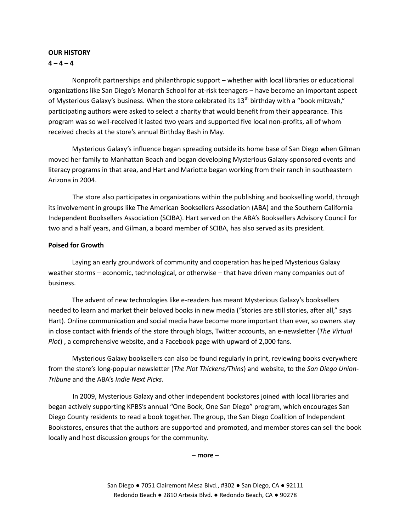$4 - 4 - 4$ 

Nonprofit partnerships and philanthropic support – whether with local libraries or educational organizations like San Diego's Monarch School for at-risk teenagers – have become an important aspect of Mysterious Galaxy's business. When the store celebrated its 13<sup>th</sup> birthday with a "book mitzvah," participating authors were asked to select a charity that would benefit from their appearance. This program was so well-received it lasted two years and supported five local non-profits, all of whom received checks at the store's annual Birthday Bash in May.

Mysterious Galaxy's influence began spreading outside its home base of San Diego when Gilman moved her family to Manhattan Beach and began developing Mysterious Galaxy-sponsored events and literacy programs in that area, and Hart and Mariotte began working from their ranch in southeastern Arizona in 2004.

The store also participates in organizations within the publishing and bookselling world, through its involvement in groups like The American Booksellers Association (ABA) and the Southern California Independent Booksellers Association (SCIBA). Hart served on the ABA's Booksellers Advisory Council for two and a half years, and Gilman, a board member of SCIBA, has also served as its president.

## **Poised for Growth**

Laying an early groundwork of community and cooperation has helped Mysterious Galaxy weather storms – economic, technological, or otherwise – that have driven many companies out of business.

The advent of new technologies like e-readers has meant Mysterious Galaxy's booksellers needed to learn and market their beloved books in new media ("stories are still stories, after all," says Hart). Online communication and social media have become more important than ever, so owners stay in close contact with friends of the store through blogs, Twitter accounts, an e-newsletter (*The Virtual Plot*) , a comprehensive website, and a Facebook page with upward of 2,000 fans.

Mysterious Galaxy booksellers can also be found regularly in print, reviewing books everywhere from the store's long-popular newsletter (*The Plot Thickens/Thins*) and website, to the *San Diego Union-Tribune* and the ABA's *Indie Next Picks*.

In 2009, Mysterious Galaxy and other independent bookstores joined with local libraries and began actively supporting KPBS's annual "One Book, One San Diego" program, which encourages San Diego County residents to read a book together. The group, the San Diego Coalition of Independent Bookstores, ensures that the authors are supported and promoted, and member stores can sell the book locally and host discussion groups for the community.

#### **– more –**